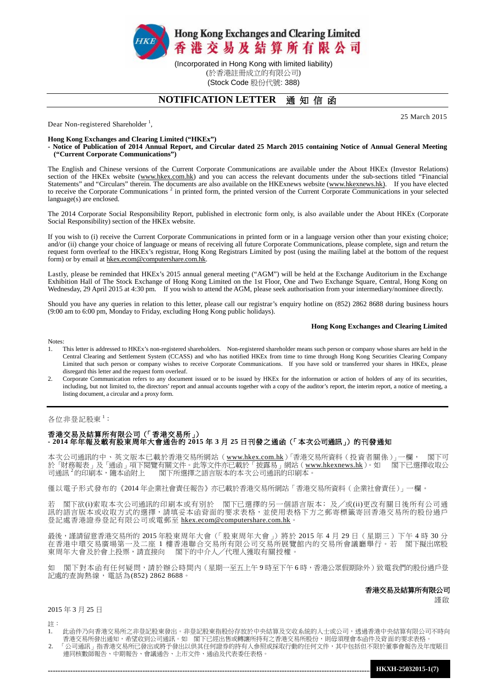

(於香港註冊成立的有限公司) (Stock Code 股份代號: 388)

# **NOTIFICATION LETTER** 通 知 信 函

Dear Non-registered Shareholder<sup>1</sup>,

#### **Hong Kong Exchanges and Clearing Limited ("HKEx")**

**- Notice of Publication of 2014 Annual Report, and Circular dated 25 March 2015 containing Notice of Annual General Meeting ("Current Corporate Communications")**

The English and Chinese versions of the Current Corporate Communications are available under the About HKEx (Investor Relations) section of the HKEx website [\(www.hkex.com.hk\)](http://www.hkex.com.hk/) and you can access the relevant documents under the sub-sections titled "Financial Statements" and "Circulars" therein. The documents are also available on the HKExnews website [\(www.hkexnews.hk\)](http://www.hkexnews.hk/). If you have elected to receive the Corporate Communications<sup>2</sup> in printed form, the printed version of the Current Corporate Communications in your selected language(s) are enclosed.

The 2014 Corporate Social Responsibility Report, published in electronic form only, is also available under the About HKEx (Corporate Social Responsibility) section of the HKEx website.

If you wish to (i) receive the Current Corporate Communications in printed form or in a language version other than your existing choice; and/or (ii) change your choice of language or means of receiving all future Corporate Communications, please complete, sign and return the request form overleaf to the HKEx's registrar, Hong Kong Registrars Limited by post (using the mailing label at the bottom of the request form) or by email at hkex.ecom@computershare.com.hk.

Lastly, please be reminded that HKEx's 2015 annual general meeting ("AGM") will be held at the Exchange Auditorium in the Exchange Exhibition Hall of The Stock Exchange of Hong Kong Limited on the 1st Floor, One and Two Exchange Square, Central, Hong Kong on Wednesday, 29 April 2015 at 4:30 pm. If you wish to attend the AGM, please seek authorisation from your intermediary/nominee directly.

Should you have any queries in relation to this letter, please call our registrar's enquiry hotline on (852) 2862 8688 during business hours (9:00 am to 6:00 pm, Monday to Friday, excluding Hong Kong public holidays).

#### **Hong Kong Exchanges and Clearing Limited**

25 March 2015

Notes:

- 1. This letter is addressed to HKEx's non-registered shareholders. Non-registered shareholder means such person or company whose shares are held in the Central Clearing and Settlement System (CCASS) and who has notified HKEx from time to time through Hong Kong Securities Clearing Company Limited that such person or company wishes to receive Corporate Communications. If you have sold or transferred your shares in HKEx, please disregard this letter and the request form overleaf.
- 2. Corporate Communication refers to any document issued or to be issued by HKEx for the information or action of holders of any of its securities, including, but not limited to, the directors' report and annual accounts together with a copy of the auditor's report, the interim report, a notice of meeting, a listing document, a circular and a proxy form.

## 各位非登記股東 $^1$ :

## 香港交易及結算所有限公司(「香港交易所」) **- 2014** 年年報及載[有股東周年大會通告的](http://www.hkex.com.hk/chi/exchange/invest/shareholder/documents/130314_notice13agm_c.pdf) **2015** 年 **3** 月 **25** 日刊發之通函(「本次公司通訊」)的刊發通知

本次公司通訊的中、英文版本已載於香港交易所網站 ([www.hkex.com.hk](http://www.hkex.com.hk/))「香港交易所資料 ( 投資者關係 )」一欄, 閣下可 於「財務報表」及「通函」項下閱覽有關文件。此等文件亦已載於「披露易」網站(<u>[www.hkexnews.hk](http://www.hkexnews.hk/)</u>)。如 閣下已選擇收取公 司通訊 2的印刷本,隨本函附上 閣下所選擇之語言版本的本次公司通訊的印刷本。

僅以電子形式發布的《2014 年企業社會責任報告》亦已載於香港交易所網站「香港交易所資料(企業社會責任)」一欄。

若 閣下欲(i)索取本次公司通訊的印刷本或有別於 閣下已選擇的另一個語言版本;及/或(ii)更改有關日後所有公司通 訊的語言版本或收取方式的選擇,請填妥本函背面的要求表格,並使用表格下方之郵寄標籤寄回香港交易所的股份過戶 登記處香港證券登記有限公司或電郵至 [hkex.ecom@computershare.com.hk](mailto:hkex.ecom@computershare.com.hk)。

最後,謹請留意香港交易所的 2015 年股東周年大會(「股東周年大會 」)將於 2015 年 4 月 29 日(星期三)下午 4 時 30 分 在香港中環交易廣場第一及二座 1 樓香港聯合交易所有限公司交易所展覽館內的交易所會議廳舉行。若 閣下擬出席股 東周年大會及於會上投票,請直接向 閣下的中介人╱代理人獲取有關授權。

如 閣下對本函有任何疑問,請於辦公時間內 (星期一至五上午9時至下午6時,香港公眾假期除外)致電我們的股份過戶登 記處的查詢熱線,電話為(852) 2862 8688。

### 香港交易及結算所有限公司

謹啟

2015 年 3 月 25 日

註:

- 1. 此函件乃向香港交易所之非登記股東發出。非登記股東指股份存放於中央結算及交收系統的人士或公司,透過香港中央結算有限公司不時向 香港交易所發出通知,希望收到公司通訊。如 閣下已經出售或轉讓所持有之香港交易所股份,則毋須理會本函件及背面的要求表格。
- 2. 「公司通訊」指香港交易所已發出或將予發出以供其任何證券的持有人參照或採取行動的任何文件,其中包括但不限於董事會報告及年度賬目 連同核數師報告、中期報告、會議通告、上市文件、通函及代表委任表格。